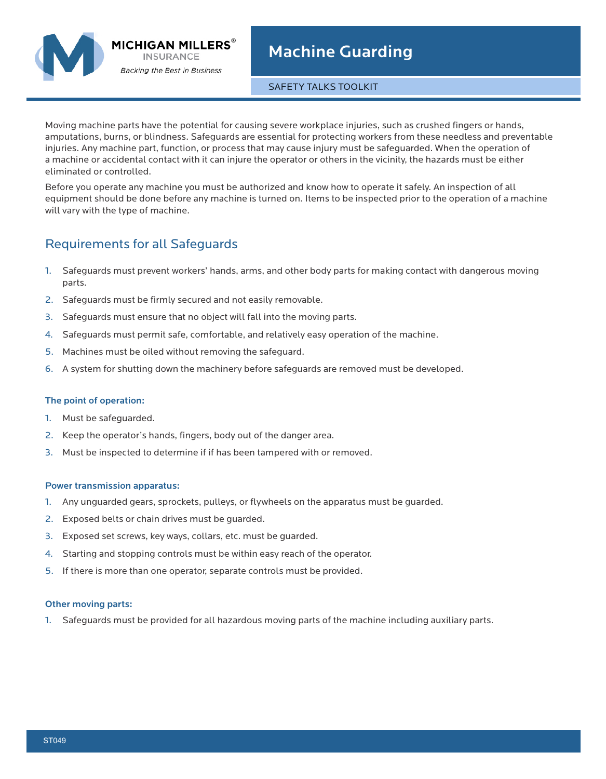

SAFETY TALKS TOOLKIT

Moving machine parts have the potential for causing severe workplace injuries, such as crushed fingers or hands, amputations, burns, or blindness. Safeguards are essential for protecting workers from these needless and preventable injuries. Any machine part, function, or process that may cause injury must be safeguarded. When the operation of a machine or accidental contact with it can injure the operator or others in the vicinity, the hazards must be either eliminated or controlled.

Before you operate any machine you must be authorized and know how to operate it safely. An inspection of all equipment should be done before any machine is turned on. Items to be inspected prior to the operation of a machine will vary with the type of machine.

# Requirements for all Safeguards

- 1. Safeguards must prevent workers' hands, arms, and other body parts for making contact with dangerous moving parts.
- 2. Safeguards must be firmly secured and not easily removable.
- 3. Safeguards must ensure that no object will fall into the moving parts.
- 4. Safeguards must permit safe, comfortable, and relatively easy operation of the machine.
- 5. Machines must be oiled without removing the safeguard.
- 6. A system for shutting down the machinery before safeguards are removed must be developed.

### The point of operation:

- 1. Must be safeguarded.
- 2. Keep the operator's hands, fingers, body out of the danger area.
- 3. Must be inspected to determine if if has been tampered with or removed.

### Power transmission apparatus:

- 1. Any unguarded gears, sprockets, pulleys, or flywheels on the apparatus must be guarded.
- 2. Exposed belts or chain drives must be guarded.
- 3. Exposed set screws, key ways, collars, etc. must be guarded.
- 4. Starting and stopping controls must be within easy reach of the operator.
- 5. If there is more than one operator, separate controls must be provided.

### Other moving parts:

1. Safeguards must be provided for all hazardous moving parts of the machine including auxiliary parts.